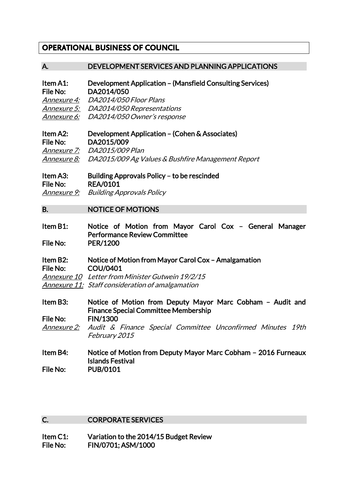# **OPERATIONAL BUSINESS OF COUNCIL**

# A. DEVELOPMENT SERVICES AND PLANNING APPLICATIONS

Item A1: Development Application – (Mansfield Consulting Services) File No: DA2014/050

Annexure 4: DA2014/050 Floor Plans Annexure 5: DA2014/050 Representations Annexure 6: DA2014/050 Owner's response

# Item A2: Development Application – (Cohen & Associates) File No: DA2015/009 Annexure 7: DA2015/009 Plan

Annexure 8: DA2015/009 Ag Values & Bushfire Management Report

# Item A3: Building Approvals Policy – to be rescinded File No: REA/0101 Annexure 9: Building Approvals Policy

#### B. NOTICE OF MOTIONS

Item B1: Notice of Motion from Mayor Carol Cox – General Manager Performance Review Committee File No: PER/1200

# Item B2: Notice of Motion from Mayor Carol Cox – Amalgamation File No: COU/0401

Annexure 10 Letter from Minister Gutwein 19/2/15

Annexure 11: Staff consideration of amalgamation

Item B3: Notice of Motion from Deputy Mayor Marc Cobham – Audit and Finance Special Committee Membership File No: FIN/1300 Annexure 2: Audit & Finance Special Committee Unconfirmed Minutes 19th February 2015

# Item B4: Notice of Motion from Deputy Mayor Marc Cobham – 2016 Furneaux Islands Festival File No: PUB/0101

# C. CORPORATE SERVICES

Item C1: Variation to the 2014/15 Budget Review File No: FIN/0701; ASM/1000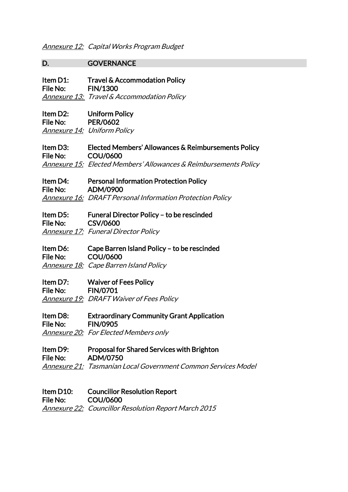# D. GOVERNANCE

Item D1: Travel & Accommodation Policy File No: FIN/1300 Annexure 13: Travel & Accommodation Policy

Item D2: Uniform Policy File No: PER/0602 **Annexure 14: Uniform Policy** 

Item D3: Elected Members' Allowances & Reimbursements Policy File No: COU/0600 Annexure 15: Elected Members' Allowances & Reimbursements Policy

Item D4: Personal Information Protection Policy File No: ADM/0900 Annexure 16: DRAFT Personal Information Protection Policy

# Item D5: Funeral Director Policy – to be rescinded File No: CSV/0600

Annexure 17: Funeral Director Policy

Item D6: Cape Barren Island Policy – to be rescinded File No: COU/0600 Annexure 18: Cape Barren Island Policy

Item D7: Waiver of Fees Policy File No: FIN/0701 Annexure 19: DRAFT Waiver of Fees Policy

Item D8: Extraordinary Community Grant Application File No: FIN/0905 Annexure 20: For Elected Members only

Item D9: Proposal for Shared Services with Brighton File No: ADM/0750 Annexure 21: Tasmanian Local Government Common Services Model

Item D10: Councillor Resolution Report File No: COU/0600 Annexure 22: Councillor Resolution Report March 2015